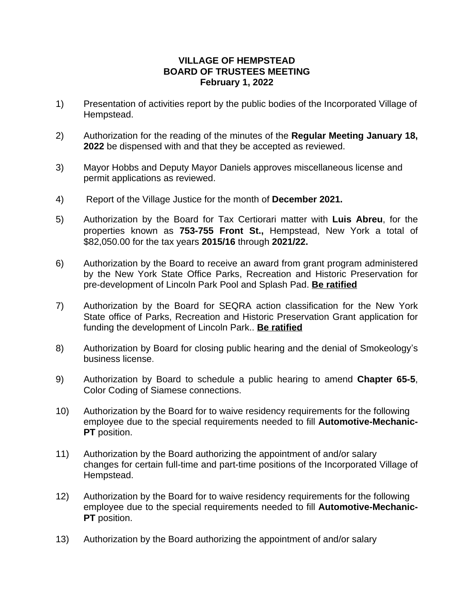## **VILLAGE OF HEMPSTEAD BOARD OF TRUSTEES MEETING February 1, 2022**

- 1) Presentation of activities report by the public bodies of the Incorporated Village of Hempstead.
- 2) Authorization for the reading of the minutes of the **Regular Meeting January 18, 2022** be dispensed with and that they be accepted as reviewed.
- 3) Mayor Hobbs and Deputy Mayor Daniels approves miscellaneous license and permit applications as reviewed.
- 4) Report of the Village Justice for the month of **December 2021.**
- 5) Authorization by the Board for Tax Certiorari matter with **Luis Abreu**, for the properties known as **753-755 Front St.,** Hempstead, New York a total of \$82,050.00 for the tax years **2015/16** through **2021/22.**
- 6) Authorization by the Board to receive an award from grant program administered by the New York State Office Parks, Recreation and Historic Preservation for pre-development of Lincoln Park Pool and Splash Pad. **Be ratified**
- 7) Authorization by the Board for SEQRA action classification for the New York State office of Parks, Recreation and Historic Preservation Grant application for funding the development of Lincoln Park.. **Be ratified**
- 8) Authorization by Board for closing public hearing and the denial of Smokeology's business license.
- 9) Authorization by Board to schedule a public hearing to amend **Chapter 65-5**, Color Coding of Siamese connections.
- 10) Authorization by the Board for to waive residency requirements for the following employee due to the special requirements needed to fill **Automotive-Mechanic-PT** position.
- 11) Authorization by the Board authorizing the appointment of and/or salary changes for certain full-time and part-time positions of the Incorporated Village of Hempstead.
- 12) Authorization by the Board for to waive residency requirements for the following employee due to the special requirements needed to fill **Automotive-Mechanic-PT** position.
- 13) Authorization by the Board authorizing the appointment of and/or salary